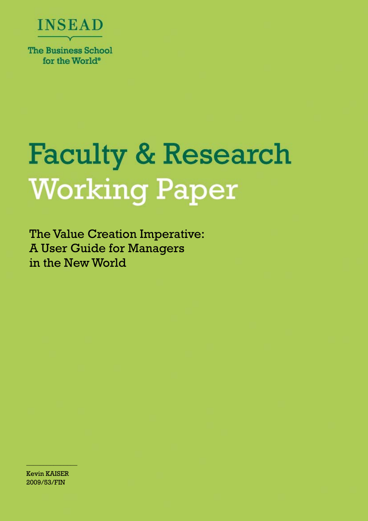

# **Faculty & Research Working Paper**

The Value Creation Imperative: A User Guide for Managers in the New World

Kevin KAISER 2009/53/FIN

 $\frac{\partial u_{\alpha}}{\partial \alpha}$  , we can also the set of  $\alpha$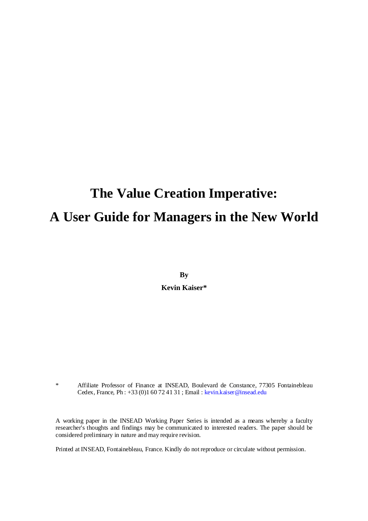# **The Value Creation Imperative: A User Guide for Managers in the New World**

**By Kevin Kaiser\*** 

\* Affiliate Professor of Finance at INSEAD, Boulevard de Constance, 77305 Fontainebleau Cedex, France, Ph : +33 (0)1 60 72 41 31 ; Email : kevin.kaiser@insead.edu

A working paper in the INSEAD Working Paper Series is intended as a means whereby a faculty researcher's thoughts and findings may be communicated to interested readers. The paper should be considered preliminary in nature and may require revision.

Printed at INSEAD, Fontainebleau, France. Kindly do not reproduce or circulate without permission.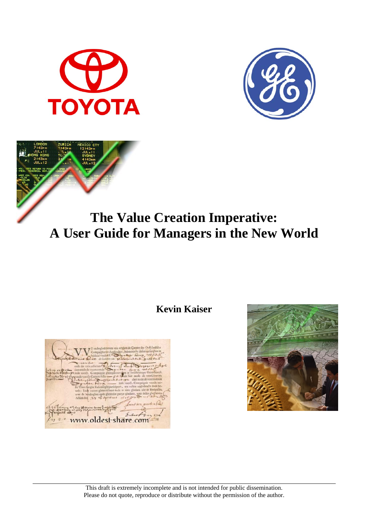



## **The Value Creation Imperative: A User Guide for Managers in the New World**

**Kevin Kaiser** 



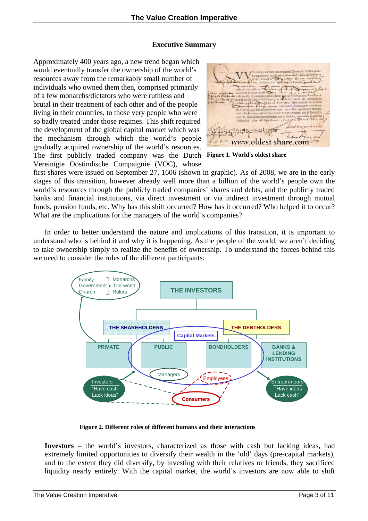#### **Executive Summary**

Approximately 400 years ago, a new trend began which would eventually transfer the ownership of the world's resources away from the remarkably small number of individuals who owned them then, comprised primarily of a few monarchs/dictators who were ruthless and brutal in their treatment of each other and of the people living in their countries, to those very people who were so badly treated under those regimes. This shift required the development of the global capital market which was the mechanism through which the world's people gradually acquired ownership of the world's resources. The first publicly traded company was the Dutch Vereinigte Oostindische Compaignie (VOC), whose

st-share.com

**Figure 1. World's oldest share** 

first shares were issued on September 27, 1606 (shown in graphic). As of 2008, we are in the early stages of this transition, however already well more than a billion of the world's people own the world's resources through the publicly traded companies' shares and debts, and the publicly traded banks and financial institutions, via direct investment or via indirect investment through mutual funds, pension funds, etc. Why has this shift occurred? How has it occurred? Who helped it to occur? What are the implications for the managers of the world's companies?

In order to better understand the nature and implications of this transition, it is important to understand who is behind it and why it is happening. As the people of the world, we aren't deciding to take ownership simply to realize the benefits of ownership. To understand the forces behind this we need to consider the roles of the different participants:



**Figure 2. Different roles of different humans and their interactions** 

**Investors** – the world's investors, characterized as those with cash but lacking ideas, had extremely limited opportunities to diversify their wealth in the 'old' days (pre-capital markets), and to the extent they did diversify, by investing with their relatives or friends, they sacrificed liquidity nearly entirely. With the capital market, the world's investors are now able to shift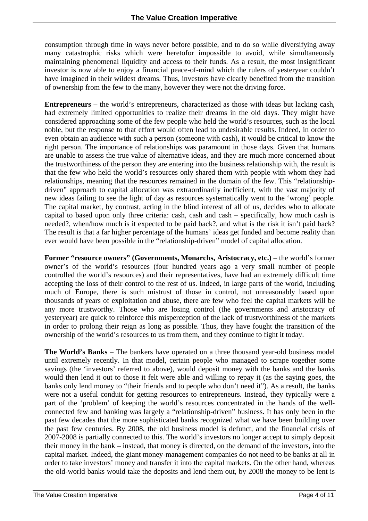consumption through time in ways never before possible, and to do so while diversifying away many catastrophic risks which were heretofor impossible to avoid, while simultaneously maintaining phenomenal liquidity and access to their funds. As a result, the most insignificant investor is now able to enjoy a financial peace-of-mind which the rulers of yesteryear couldn't have imagined in their wildest dreams. Thus, investors have clearly benefited from the transition of ownership from the few to the many, however they were not the driving force.

**Entrepreneurs** – the world's entrepreneurs, characterized as those with ideas but lacking cash, had extremely limited opportunities to realize their dreams in the old days. They might have considered approaching some of the few people who held the world's resources, such as the local noble, but the response to that effort would often lead to undesirable results. Indeed, in order to even obtain an audience with such a person (someone with cash), it would be critical to know the right person. The importance of relationships was paramount in those days. Given that humans are unable to assess the true value of alternative ideas, and they are much more concerned about the trustworthiness of the person they are entering into the business relationship with, the result is that the few who held the world's resources only shared them with people with whom they had relationships, meaning that the resources remained in the domain of the few. This "relationshipdriven" approach to capital allocation was extraordinarily inefficient, with the vast majority of new ideas failing to see the light of day as resources systematically went to the 'wrong' people. The capital market, by contrast, acting in the blind interest of all of us, decides who to allocate capital to based upon only three criteria: cash, cash and cash – specifically, how much cash is needed?, when/how much is it expected to be paid back?, and what is the risk it isn't paid back? The result is that a far higher percentage of the humans' ideas get funded and become reality than ever would have been possible in the "relationship-driven" model of capital allocation.

**Former "resource owners" (Governments, Monarchs, Aristocracy, etc.) – the world's former** owner's of the world's resources (four hundred years ago a very small number of people controlled the world's resources) and their representatives, have had an extremely difficult time accepting the loss of their control to the rest of us. Indeed, in large parts of the world, including much of Europe, there is such mistrust of those in control, not unreasonably based upon thousands of years of exploitation and abuse, there are few who feel the capital markets will be any more trustworthy. Those who are losing control (the governments and aristocracy of yesteryear) are quick to reinforce this misperception of the lack of trustworthiness of the markets in order to prolong their reign as long as possible. Thus, they have fought the transition of the ownership of the world's resources to us from them, and they continue to fight it today.

**The World's Banks** – The bankers have operated on a three thousand year-old business model until extremely recently. In that model, certain people who managed to scrape together some savings (the 'investors' referred to above), would deposit money with the banks and the banks would then lend it out to those it felt were able and willing to repay it (as the saying goes, the banks only lend money to "their friends and to people who don't need it"). As a result, the banks were not a useful conduit for getting resources to entrepreneurs. Instead, they typically were a part of the 'problem' of keeping the world's resources concentrated in the hands of the wellconnected few and banking was largely a "relationship-driven" business. It has only been in the past few decades that the more sophisticated banks recognized what we have been building over the past few centuries. By 2008, the old business model is defunct, and the financial crisis of 2007-2008 is partially connected to this. The world's investors no longer accept to simply deposit their money in the bank – instead, that money is directed, on the demand of the investors, into the capital market. Indeed, the giant money-management companies do not need to be banks at all in order to take investors' money and transfer it into the capital markets. On the other hand, whereas the old-world banks would take the deposits and lend them out, by 2008 the money to be lent is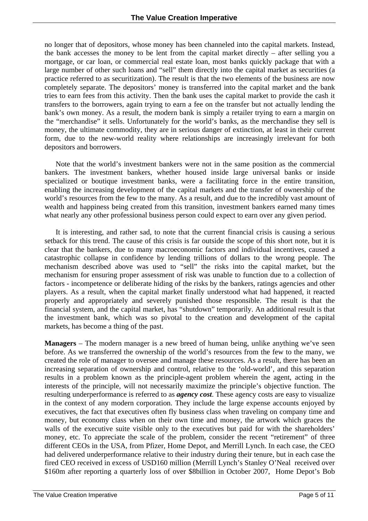no longer that of depositors, whose money has been channeled into the capital markets. Instead, the bank accesses the money to be lent from the capital market directly – after selling you a mortgage, or car loan, or commercial real estate loan, most banks quickly package that with a large number of other such loans and "sell" them directly into the capital market as securities (a practice referred to as securitization). The result is that the two elements of the business are now completely separate. The depositors' money is transferred into the capital market and the bank tries to earn fees from this activity. Then the bank uses the capital market to provide the cash it transfers to the borrowers, again trying to earn a fee on the transfer but not actually lending the bank's own money. As a result, the modern bank is simply a retailer trying to earn a margin on the "merchandise" it sells. Unfortunately for the world's banks, as the merchandise they sell is money, the ultimate commodity, they are in serious danger of extinction, at least in their current form, due to the new-world reality where relationships are increasingly irrelevant for both depositors and borrowers.

Note that the world's investment bankers were not in the same position as the commercial bankers. The investment bankers, whether housed inside large universal banks or inside specialized or boutique investment banks, were a facilitating force in the entire transition, enabling the increasing development of the capital markets and the transfer of ownership of the world's resources from the few to the many. As a result, and due to the incredibly vast amount of wealth and happiness being created from this transition, investment bankers earned many times what nearly any other professional business person could expect to earn over any given period.

 It is interesting, and rather sad, to note that the current financial crisis is causing a serious setback for this trend. The cause of this crisis is far outside the scope of this short note, but it is clear that the bankers, due to many macroeconomic factors and individual incentives, caused a catastrophic collapse in confidence by lending trillions of dollars to the wrong people. The mechanism described above was used to "sell" the risks into the capital market, but the mechanism for ensuring proper assessment of risk was unable to function due to a collection of factors - incompetence or deliberate hiding of the risks by the bankers, ratings agencies and other players. As a result, when the capital market finally understood what had happened, it reacted properly and appropriately and severely punished those responsible. The result is that the financial system, and the capital market, has "shutdown" temporarily. An additional result is that the investment bank, which was so pivotal to the creation and development of the capital markets, has become a thing of the past.

**Managers** – The modern manager is a new breed of human being, unlike anything we've seen before. As we transferred the ownership of the world's resources from the few to the many, we created the role of manager to oversee and manage these resources. As a result, there has been an increasing separation of ownership and control, relative to the 'old-world', and this separation results in a problem known as the principle-agent problem wherein the agent, acting in the interests of the principle, will not necessarily maximize the principle's objective function. The resulting underperformance is referred to as *agency cost*. These agency costs are easy to visualize in the context of any modern corporation. They include the large expense accounts enjoyed by executives, the fact that executives often fly business class when traveling on company time and money, but economy class when on their own time and money, the artwork which graces the walls of the executive suite visible only to the executives but paid for with the shareholders' money, etc. To appreciate the scale of the problem, consider the recent "retirement" of three different CEOs in the USA, from Pfizer, Home Depot, and Merrill Lynch. In each case, the CEO had delivered underperformance relative to their industry during their tenure, but in each case the fired CEO received in excess of USD160 million (Merrill Lynch's Stanley O'Neal received over \$160m after reporting a quarterly loss of over \$8billion in October 2007, Home Depot's Bob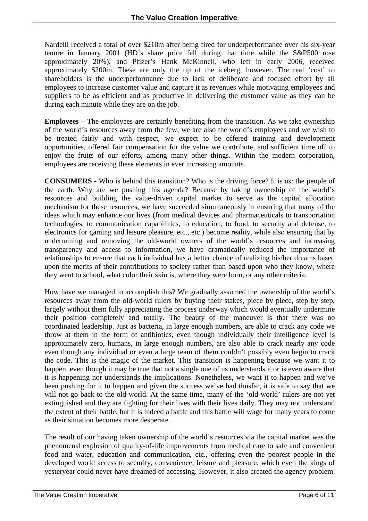Nardelli received a total of over \$210m after being fired for underperformance over his six-year tenure in January 2001 (HD's share price fell during that time while the S&P500 rose approximately 20%), and Pfizer's Hank McKinnell, who left in early 2006, received approximately \$200m. These are only the tip of the iceberg, however. The real 'cost' to shareholders is the underperformance due to lack of deliberate and focused effort by all employees to increase customer value and capture it as revenues while motivating employees and suppliers to be as efficient and as productive in delivering the customer value as they can be during each minute while they are on the job.

**Employees** – The employees are certainly benefiting from the transition. As we take ownership of the world's resources away from the few, we are also the world's employees and we wish to be treated fairly and with respect, we expect to be offered training and development opportunities, offered fair compensation for the value we contribute, and sufficient time off to enjoy the fruits of our efforts, among many other things. Within the modern corporation, employees are receiving these elements in ever increasing amounts.

**CONSUMERS -** Who is behind this transition? Who is the driving force? It is us: the people of the earth. Why are we pushing this agenda? Because by taking ownership of the world's resources and building the value-driven capital market to serve as the capital allocation mechanism for these resources, we have succeeded simultaneously in ensuring that many of the ideas which may enhance our lives (from medical devices and pharmaceuticals to transportation technologies, to communication capabilities, to education, to food, to security and defense, to electronics for gaming and leisure pleasure, etc., etc.) become reality, while also ensuring that by undermining and removing the old-world owners of the world's resources and increasing transparency and access to information, we have dramatically reduced the importance of relationships to ensure that each individual has a better chance of realizing his/her dreams based upon the merits of their contributions to society rather than based upon who they know, where they went to school, what color their skin is, where they were born, or any other criteria.

How have we managed to accomplish this? We gradually assumed the ownership of the world's resources away from the old-world rulers by buying their stakes, piece by piece, step by step, largely without them fully appreciating the process underway which would eventually undermine their position completely and totally. The beauty of the maneuver is that there was no coordinated leadership. Just as bacteria, in large enough numbers, are able to crack any code we throw at them in the form of antibiotics, even though individually their intelligence level is approximately zero, humans, in large enough numbers, are also able to crack nearly any code even though any individual or even a large team of them couldn't possibly even begin to crack the code. This is the magic of the market. This transition is happening because we want it to happen, even though it may be true that not a single one of us understands it or is even aware that it is happening nor understands the implications. Nonetheless, we want it to happen and we've been pushing for it to happen and given the success we've had thusfar, it is safe to say that we will not go back to the old-world. At the same time, many of the 'old-world' rulers are not yet extinguished and they are fighting for their lives with their lives daily. They may not understand the extent of their battle, but it is indeed a battle and this battle will wage for many years to come as their situation becomes more desperate.

The result of our having taken ownership of the world's resources via the capital market was the phenomenal explosion of quality-of-life improvements from medical care to safe and convenient food and water, education and communication, etc., offering even the poorest people in the developed world access to security, convenience, leisure and pleasure, which even the kings of yesteryear could never have dreamed of accessing. However, it also created the agency problem.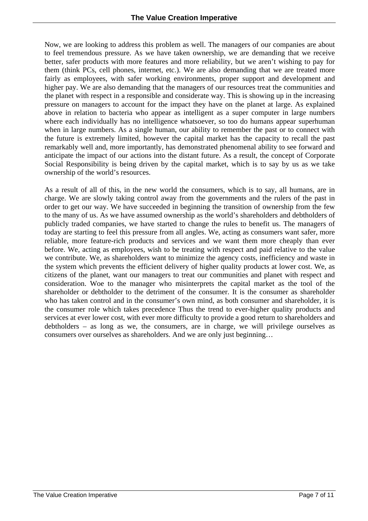Now, we are looking to address this problem as well. The managers of our companies are about to feel tremendous pressure. As we have taken ownership, we are demanding that we receive better, safer products with more features and more reliability, but we aren't wishing to pay for them (think PCs, cell phones, internet, etc.). We are also demanding that we are treated more fairly as employees, with safer working environments, proper support and development and higher pay. We are also demanding that the managers of our resources treat the communities and the planet with respect in a responsible and considerate way. This is showing up in the increasing pressure on managers to account for the impact they have on the planet at large. As explained above in relation to bacteria who appear as intelligent as a super computer in large numbers where each individually has no intelligence whatsoever, so too do humans appear superhuman when in large numbers. As a single human, our ability to remember the past or to connect with the future is extremely limited, however the capital market has the capacity to recall the past remarkably well and, more importantly, has demonstrated phenomenal ability to see forward and anticipate the impact of our actions into the distant future. As a result, the concept of Corporate Social Responsibility is being driven by the capital market, which is to say by us as we take ownership of the world's resources.

As a result of all of this, in the new world the consumers, which is to say, all humans, are in charge. We are slowly taking control away from the governments and the rulers of the past in order to get our way. We have succeeded in beginning the transition of ownership from the few to the many of us. As we have assumed ownership as the world's shareholders and debtholders of publicly traded companies, we have started to change the rules to benefit us. The managers of today are starting to feel this pressure from all angles. We, acting as consumers want safer, more reliable, more feature-rich products and services and we want them more cheaply than ever before. We, acting as employees, wish to be treating with respect and paid relative to the value we contribute. We, as shareholders want to minimize the agency costs, inefficiency and waste in the system which prevents the efficient delivery of higher quality products at lower cost. We, as citizens of the planet, want our managers to treat our communities and planet with respect and consideration. Woe to the manager who misinterprets the capital market as the tool of the shareholder or debtholder to the detriment of the consumer. It is the consumer as shareholder who has taken control and in the consumer's own mind, as both consumer and shareholder, it is the consumer role which takes precedence Thus the trend to ever-higher quality products and services at ever lower cost, with ever more difficulty to provide a good return to shareholders and debtholders – as long as we, the consumers, are in charge, we will privilege ourselves as consumers over ourselves as shareholders. And we are only just beginning…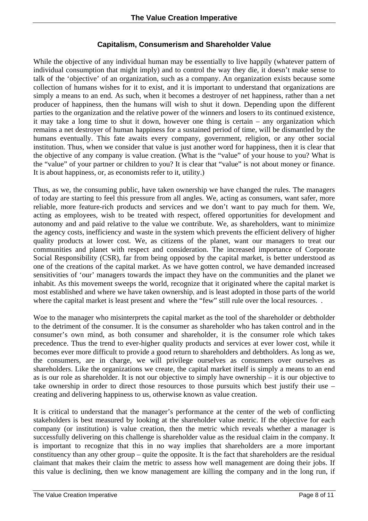### **Capitalism, Consumerism and Shareholder Value**

While the objective of any individual human may be essentially to live happily (whatever pattern of individual consumption that might imply) and to control the way they die, it doesn't make sense to talk of the 'objective' of an organization, such as a company. An organization exists because some collection of humans wishes for it to exist, and it is important to understand that organizations are simply a means to an end. As such, when it becomes a destroyer of net happiness, rather than a net producer of happiness, then the humans will wish to shut it down. Depending upon the different parties to the organization and the relative power of the winners and losers to its continued existence, it may take a long time to shut it down, however one thing is certain – any organization which remains a net destroyer of human happiness for a sustained period of time, will be dismantled by the humans eventually. This fate awaits every company, government, religion, or any other social institution. Thus, when we consider that value is just another word for happiness, then it is clear that the objective of any company is value creation. (What is the "value" of your house to you? What is the "value" of your partner or children to you? It is clear that "value" is not about money or finance. It is about happiness, or, as economists refer to it, utility.)

Thus, as we, the consuming public, have taken ownership we have changed the rules. The managers of today are starting to feel this pressure from all angles. We, acting as consumers, want safer, more reliable, more feature-rich products and services and we don't want to pay much for them. We, acting as employees, wish to be treated with respect, offered opportunities for development and autonomy and and paid relative to the value we contribute. We, as shareholders, want to minimize the agency costs, inefficiency and waste in the system which prevents the efficient delivery of higher quality products at lower cost. We, as citizens of the planet, want our managers to treat our communities and planet with respect and consideration. The increased importance of Corporate Social Responsibility (CSR), far from being opposed by the capital market, is better understood as one of the creations of the capital market. As we have gotten control, we have demanded increased sensitivities of 'our' managers towards the impact they have on the communities and the planet we inhabit. As this movement sweeps the world, recognize that it originated where the capital market is most established and where we have taken ownership, and is least adopted in those parts of the world where the capital market is least present and where the "few" still rule over the local resources...

Woe to the manager who misinterprets the capital market as the tool of the shareholder or debtholder to the detriment of the consumer. It is the consumer as shareholder who has taken control and in the consumer's own mind, as both consumer and shareholder, it is the consumer role which takes precedence. Thus the trend to ever-higher quality products and services at ever lower cost, while it becomes ever more difficult to provide a good return to shareholders and debtholders. As long as we, the consumers, are in charge, we will privilege ourselves as consumers over ourselves as shareholders. Like the organizations we create, the capital market itself is simply a means to an end as is our role as shareholder. It is not our objective to simply have ownership – it is our objective to take ownership in order to direct those resources to those pursuits which best justify their use – creating and delivering happiness to us, otherwise known as value creation.

It is critical to understand that the manager's performance at the center of the web of conflicting stakeholders is best measured by looking at the shareholder value metric. If the objective for each company (or institution) is value creation, then the metric which reveals whether a manager is successfully delivering on this challenge is shareholder value as the residual claim in the company. It is important to recognize that this in no way implies that shareholders are a more important constituency than any other group – quite the opposite. It is the fact that shareholders are the residual claimant that makes their claim the metric to assess how well management are doing their jobs. If this value is declining, then we know management are killing the company and in the long run, if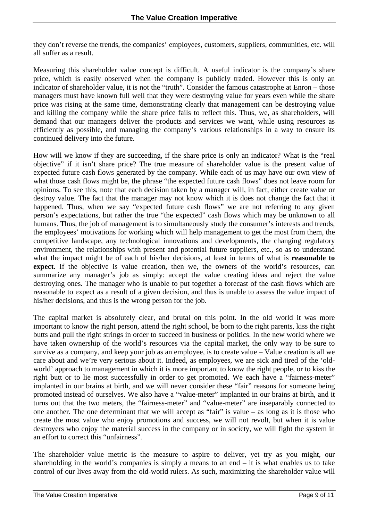they don't reverse the trends, the companies' employees, customers, suppliers, communities, etc. will all suffer as a result.

Measuring this shareholder value concept is difficult. A useful indicator is the company's share price, which is easily observed when the company is publicly traded. However this is only an indicator of shareholder value, it is not the "truth". Consider the famous catastrophe at Enron – those managers must have known full well that they were destroying value for years even while the share price was rising at the same time, demonstrating clearly that management can be destroying value and killing the company while the share price fails to reflect this. Thus, we, as shareholders, will demand that our managers deliver the products and services we want, while using resources as efficiently as possible, and managing the company's various relationships in a way to ensure its continued delivery into the future.

How will we know if they are succeeding, if the share price is only an indicator? What is the "real objective" if it isn't share price? The true measure of shareholder value is the present value of expected future cash flows generated by the company. While each of us may have our own view of what those cash flows might be, the phrase "the expected future cash flows" does not leave room for opinions. To see this, note that each decision taken by a manager will, in fact, either create value or destroy value. The fact that the manager may not know which it is does not change the fact that it happened. Thus, when we say "expected future cash flows" we are not referring to any given person's expectations, but rather the true "the expected" cash flows which may be unknown to all humans. Thus, the job of management is to simultaneously study the consumer's interests and trends, the employees' motivations for working which will help management to get the most from them, the competitive landscape, any technological innovations and developments, the changing regulatory environment, the relationships with present and potential future suppliers, etc., so as to understand what the impact might be of each of his/her decisions, at least in terms of what is **reasonable to expect**. If the objective is value creation, then we, the owners of the world's resources, can summarize any manager's job as simply: accept the value creating ideas and reject the value destroying ones. The manager who is unable to put together a forecast of the cash flows which are reasonable to expect as a result of a given decision, and thus is unable to assess the value impact of his/her decisions, and thus is the wrong person for the job.

The capital market is absolutely clear, and brutal on this point. In the old world it was more important to know the right person, attend the right school, be born to the right parents, kiss the right butts and pull the right strings in order to succeed in business or politics. In the new world where we have taken ownership of the world's resources via the capital market, the only way to be sure to survive as a company, and keep your job as an employee, is to create value – Value creation is all we care about and we're very serious about it. Indeed, as employees, we are sick and tired of the 'oldworld' approach to management in which it is more important to know the right people, or to kiss the right butt or to lie most successfully in order to get promoted. We each have a "fairness-meter" implanted in our brains at birth, and we will never consider these "fair" reasons for someone being promoted instead of ourselves. We also have a "value-meter" implanted in our brains at birth, and it turns out that the two meters, the "fairness-meter" and "value-meter" are inseparably connected to one another. The one determinant that we will accept as "fair" is value – as long as it is those who create the most value who enjoy promotions and success, we will not revolt, but when it is value destroyers who enjoy the material success in the company or in society, we will fight the system in an effort to correct this "unfairness".

The shareholder value metric is the measure to aspire to deliver, yet try as you might, our shareholding in the world's companies is simply a means to an end  $-$  it is what enables us to take control of our lives away from the old-world rulers. As such, maximizing the shareholder value will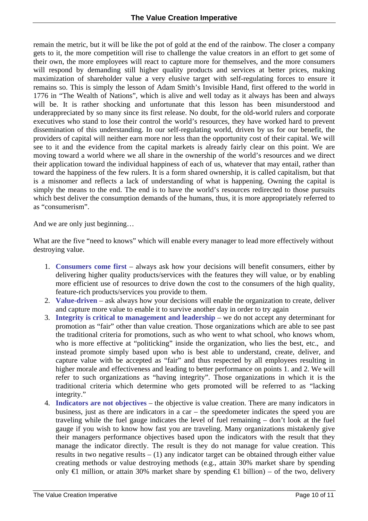remain the metric, but it will be like the pot of gold at the end of the rainbow. The closer a company gets to it, the more competition will rise to challenge the value creators in an effort to get some of their own, the more employees will react to capture more for themselves, and the more consumers will respond by demanding still higher quality products and services at better prices, making maximization of shareholder value a very elusive target with self-regulating forces to ensure it remains so. This is simply the lesson of Adam Smith's Invisible Hand, first offered to the world in 1776 in "The Wealth of Nations", which is alive and well today as it always has been and always will be. It is rather shocking and unfortunate that this lesson has been misunderstood and underappreciated by so many since its first release. No doubt, for the old-world rulers and corporate executives who stand to lose their control the world's resources, they have worked hard to prevent dissemination of this understanding. In our self-regulating world, driven by us for our benefit, the providers of capital will neither earn more nor less than the opportunity cost of their capital. We will see to it and the evidence from the capital markets is already fairly clear on this point. We are moving toward a world where we all share in the ownership of the world's resources and we direct their application toward the individual happiness of each of us, whatever that may entail, rather than toward the happiness of the few rulers. It is a form shared ownership, it is called capitalism, but that is a misnomer and reflects a lack of understanding of what is happening. Owning the capital is simply the means to the end. The end is to have the world's resources redirected to those pursuits which best deliver the consumption demands of the humans, thus, it is more appropriately referred to as "consumerism".

And we are only just beginning…

What are the five "need to knows" which will enable every manager to lead more effectively without destroying value.

- 1. **Consumers come first** always ask how your decisions will benefit consumers, either by delivering higher quality products/services with the features they will value, or by enabling more efficient use of resources to drive down the cost to the consumers of the high quality, feature-rich products/services you provide to them.
- 2. **Value-driven** ask always how your decisions will enable the organization to create, deliver and capture more value to enable it to survive another day in order to try again
- 3. **Integrity is critical to management and leadership** we do not accept any determinant for promotion as "fair" other than value creation. Those organizations which are able to see past the traditional criteria for promotions, such as who went to what school, who knows whom, who is more effective at "politicking" inside the organization, who lies the best, etc., and instead promote simply based upon who is best able to understand, create, deliver, and capture value with be accepted as "fair" and thus respected by all employees resulting in higher morale and effectiveness and leading to better performance on points 1. and 2. We will refer to such organizations as "having integrity". Those organizations in which it is the traditional criteria which determine who gets promoted will be referred to as "lacking integrity."
- 4. **Indicators are not objectives** the objective is value creation. There are many indicators in business, just as there are indicators in a car – the speedometer indicates the speed you are traveling while the fuel gauge indicates the level of fuel remaining – don't look at the fuel gauge if you wish to know how fast you are traveling. Many organizations mistakenly give their managers performance objectives based upon the indicators with the result that they manage the indicator directly. The result is they do not manage for value creation. This results in two negative results  $- (1)$  any indicator target can be obtained through either value creating methods or value destroying methods (e.g., attain 30% market share by spending only  $\bigoplus$  million, or attain 30% market share by spending  $\bigoplus$  billion) – of the two, delivery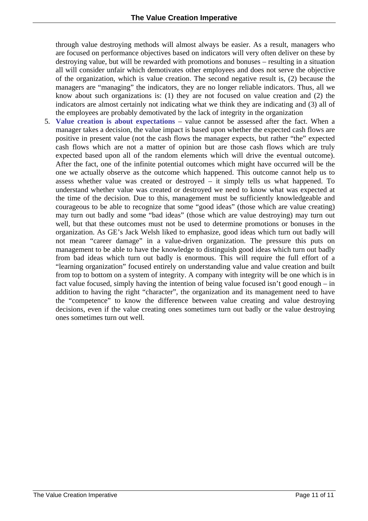through value destroying methods will almost always be easier. As a result, managers who are focused on performance objectives based on indicators will very often deliver on these by destroying value, but will be rewarded with promotions and bonuses – resulting in a situation all will consider unfair which demotivates other employees and does not serve the objective of the organization, which is value creation. The second negative result is, (2) because the managers are "managing" the indicators, they are no longer reliable indicators. Thus, all we know about such organizations is: (1) they are not focused on value creation and (2) the indicators are almost certainly not indicating what we think they are indicating and (3) all of the employees are probably demotivated by the lack of integrity in the organization

5. **Value creation is about expectations** – value cannot be assessed after the fact. When a manager takes a decision, the value impact is based upon whether the expected cash flows are positive in present value (not the cash flows the manager expects, but rather "the" expected cash flows which are not a matter of opinion but are those cash flows which are truly expected based upon all of the random elements which will drive the eventual outcome). After the fact, one of the infinite potential outcomes which might have occurred will be the one we actually observe as the outcome which happened. This outcome cannot help us to assess whether value was created or destroyed – it simply tells us what happened. To understand whether value was created or destroyed we need to know what was expected at the time of the decision. Due to this, management must be sufficiently knowledgeable and courageous to be able to recognize that some "good ideas" (those which are value creating) may turn out badly and some "bad ideas" (those which are value destroying) may turn out well, but that these outcomes must not be used to determine promotions or bonuses in the organization. As GE's Jack Welsh liked to emphasize, good ideas which turn out badly will not mean "career damage" in a value-driven organization. The pressure this puts on management to be able to have the knowledge to distinguish good ideas which turn out badly from bad ideas which turn out badly is enormous. This will require the full effort of a "learning organization" focused entirely on understanding value and value creation and built from top to bottom on a system of integrity. A company with integrity will be one which is in fact value focused, simply having the intention of being value focused isn't good enough – in addition to having the right "character", the organization and its management need to have the "competence" to know the difference between value creating and value destroying decisions, even if the value creating ones sometimes turn out badly or the value destroying ones sometimes turn out well.